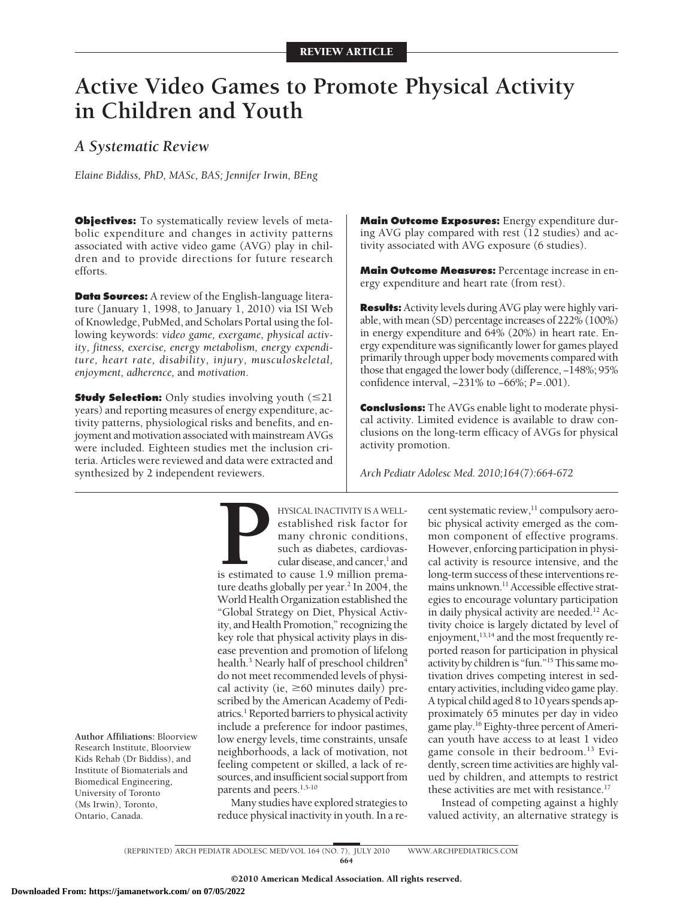# **Active Video Games to Promote Physical Activity in Children and Youth**

## *A Systematic Review*

*Elaine Biddiss, PhD, MASc, BAS; Jennifer Irwin, BEng*

**Objectives:** To systematically review levels of metabolic expenditure and changes in activity patterns associated with active video game (AVG) play in children and to provide directions for future research efforts.

**Data Sources:** A review of the English-language literature (January 1, 1998, to January 1, 2010) via ISI Web of Knowledge, PubMed, and Scholars Portal using the following keywords: *video game, exergame, physical activity, fitness, exercise, energy metabolism, energy expenditure, heart rate, disability, injury, musculoskeletal, enjoyment, adherence,* and *motivation*.

**Study Selection:** Only studies involving youth ( $\leq 21$ years) and reporting measures of energy expenditure, activity patterns, physiological risks and benefits, and enjoyment and motivation associated with mainstream AVGs were included. Eighteen studies met the inclusion criteria. Articles were reviewed and data were extracted and synthesized by 2 independent reviewers.

**Main Outcome Exposures:** Energy expenditure during AVG play compared with rest (12 studies) and activity associated with AVG exposure (6 studies).

**Main Outcome Measures:** Percentage increase in energy expenditure and heart rate (from rest).

**Results:** Activity levels during AVG play were highly variable, with mean (SD) percentage increases of 222% (100%) in energy expenditure and 64% (20%) in heart rate. Energy expenditure was significantly lower for games played primarily through upper body movements compared with those that engaged the lower body (difference, −148%; 95% confidence interval, −231% to −66%; *P*=.001).

**Conclusions:** The AVGs enable light to moderate physical activity. Limited evidence is available to draw conclusions on the long-term efficacy of AVGs for physical activity promotion.

*Arch Pediatr Adolesc Med. 2010;164(7):664-672*

**Author Affiliations:** Bloorview Research Institute, Bloorview Kids Rehab (Dr Biddiss), and Institute of Biomaterials and Biomedical Engineering, University of Toronto (Ms Irwin), Toronto, Ontario, Canada.

**PERENCAL INACTIVITY IS A WELL-**<br>
established risk factor for<br>
many chronic conditions,<br>
such as diabetes, cardiovas-<br>
cular disease, and cancer,<sup>1</sup> and<br>
is estimated to cause 1.9 million prema-<br>
ture deaths globally per y established risk factor for many chronic conditions, such as diabetes, cardiovascular disease, and cancer,<sup>1</sup> and ture deaths globally per year.<sup>2</sup> In 2004, the World Health Organization established the "Global Strategy on Diet, Physical Activity, and Health Promotion," recognizing the key role that physical activity plays in disease prevention and promotion of lifelong health.<sup>3</sup> Nearly half of preschool children<sup>4</sup> do not meet recommended levels of physical activity (ie,  $\geq 60$  minutes daily) prescribed by the American Academy of Pediatrics.<sup>1</sup> Reported barriers to physical activity include a preference for indoor pastimes, low energy levels, time constraints, unsafe neighborhoods, a lack of motivation, not feeling competent or skilled, a lack of resources, and insufficient social support from parents and peers.<sup>1,5-10</sup>

Many studies have explored strategies to reduce physical inactivity in youth. In a recent systematic review,<sup>11</sup> compulsory aerobic physical activity emerged as the common component of effective programs. However, enforcing participation in physical activity is resource intensive, and the long-term success of these interventions remains unknown.<sup>11</sup> Accessible effective strategies to encourage voluntary participation in daily physical activity are needed.<sup>12</sup> Activity choice is largely dictated by level of enjoyment,<sup>13,14</sup> and the most frequently reported reason for participation in physical activity by children is "fun."<sup>15</sup> This same motivation drives competing interest in sedentary activities, including video game play. A typical child aged 8 to 10 years spends approximately 65 minutes per day in video game play.16 Eighty-three percent of American youth have access to at least 1 video game console in their bedroom.<sup>13</sup> Evidently, screen time activities are highly valued by children, and attempts to restrict these activities are met with resistance.<sup>17</sup>

Instead of competing against a highly valued activity, an alternative strategy is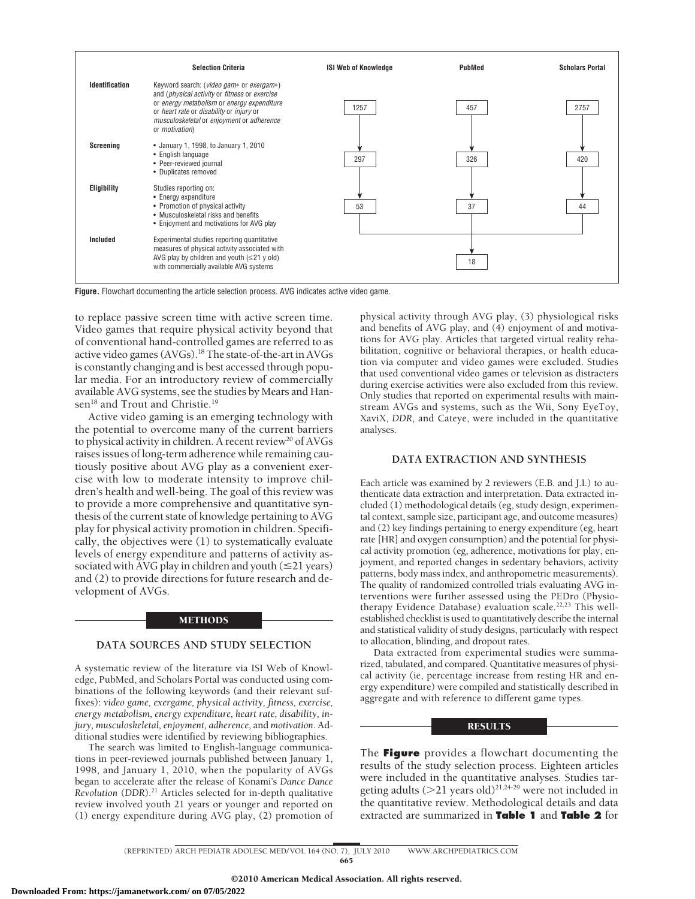|                    | <b>Selection Criteria</b>                                                                                                                                                                                                                                  | <b>ISI Web of Knowledge</b> | PubMed | <b>Scholars Portal</b> |
|--------------------|------------------------------------------------------------------------------------------------------------------------------------------------------------------------------------------------------------------------------------------------------------|-----------------------------|--------|------------------------|
| Identification     | Keyword search: (video gam* or exergam*)<br>and (physical activity or fitness or exercise<br>or energy metabolism or energy expenditure<br>or heart rate or disability or injury or<br>musculoskeletal or enjoyment or adherence<br>or <i>motivation</i> ) | 1257                        | 457    | 2757                   |
| Screening          | • January 1, 1998, to January 1, 2010<br>• English language<br>• Peer-reviewed journal<br>• Duplicates removed                                                                                                                                             | 297                         | 326    | 420                    |
| <b>Eligibility</b> | Studies reporting on:<br>• Energy expenditure<br>• Promotion of physical activity<br>• Musculoskeletal risks and benefits<br>• Enjoyment and motivations for AVG play                                                                                      | 53                          | 37     | 44                     |
| Included           | Experimental studies reporting quantitative<br>measures of physical activity associated with<br>AVG play by children and youth $(\leq 21$ y old)<br>with commercially available AVG systems                                                                |                             | 18     |                        |

**Figure.** Flowchart documenting the article selection process. AVG indicates active video game.

to replace passive screen time with active screen time. Video games that require physical activity beyond that of conventional hand-controlled games are referred to as active video games (AVGs).18 The state-of-the-art in AVGs is constantly changing and is best accessed through popular media. For an introductory review of commercially available AVG systems, see the studies by Mears and Hansen<sup>18</sup> and Trout and Christie.<sup>19</sup>

Active video gaming is an emerging technology with the potential to overcome many of the current barriers to physical activity in children. A recent review<sup>20</sup> of AVGs raises issues of long-term adherence while remaining cautiously positive about AVG play as a convenient exercise with low to moderate intensity to improve children's health and well-being. The goal of this review was to provide a more comprehensive and quantitative synthesis of the current state of knowledge pertaining to AVG play for physical activity promotion in children. Specifically, the objectives were (1) to systematically evaluate levels of energy expenditure and patterns of activity associated with AVG play in children and youth  $(\leq 21$  years) and (2) to provide directions for future research and development of AVGs.

## METHODS

## **DATA SOURCES AND STUDY SELECTION**

A systematic review of the literature via ISI Web of Knowledge, PubMed, and Scholars Portal was conducted using combinations of the following keywords (and their relevant suffixes): *video game, exergame, physical activity, fitness, exercise, energy metabolism, energy expenditure, heart rate, disability, injury, musculoskeletal, enjoyment, adherence,* and *motivation*. Additional studies were identified by reviewing bibliographies.

The search was limited to English-language communications in peer-reviewed journals published between January 1, 1998, and January 1, 2010, when the popularity of AVGs began to accelerate after the release of Konami's *Dance Dance Revolution* (*DDR*).21 Articles selected for in-depth qualitative review involved youth 21 years or younger and reported on (1) energy expenditure during AVG play, (2) promotion of

physical activity through AVG play, (3) physiological risks and benefits of AVG play, and (4) enjoyment of and motivations for AVG play. Articles that targeted virtual reality rehabilitation, cognitive or behavioral therapies, or health education via computer and video games were excluded. Studies that used conventional video games or television as distracters during exercise activities were also excluded from this review. Only studies that reported on experimental results with mainstream AVGs and systems, such as the Wii, Sony EyeToy, XaviX, *DDR*, and Cateye, were included in the quantitative analyses.

## **DATA EXTRACTION AND SYNTHESIS**

Each article was examined by 2 reviewers (E.B. and J.I.) to authenticate data extraction and interpretation. Data extracted included (1) methodological details (eg, study design, experimental context, sample size, participant age, and outcome measures) and (2) key findings pertaining to energy expenditure (eg, heart rate [HR] and oxygen consumption) and the potential for physical activity promotion (eg, adherence, motivations for play, enjoyment, and reported changes in sedentary behaviors, activity patterns, body mass index, and anthropometric measurements). The quality of randomized controlled trials evaluating AVG interventions were further assessed using the PEDro (Physiotherapy Evidence Database) evaluation scale.<sup>22,23</sup> This wellestablished checklist is used to quantitatively describe the internal and statistical validity of study designs, particularly with respect to allocation, blinding, and dropout rates.

Data extracted from experimental studies were summarized, tabulated, and compared. Quantitative measures of physical activity (ie, percentage increase from resting HR and energy expenditure) were compiled and statistically described in aggregate and with reference to different game types.

## RESULTS

The **Figure** provides a flowchart documenting the results of the study selection process. Eighteen articles were included in the quantitative analyses. Studies targeting adults ( $>$ 21 years old)<sup>21,24-29</sup> were not included in the quantitative review. Methodological details and data extracted are summarized in **Table 1** and **Table 2** for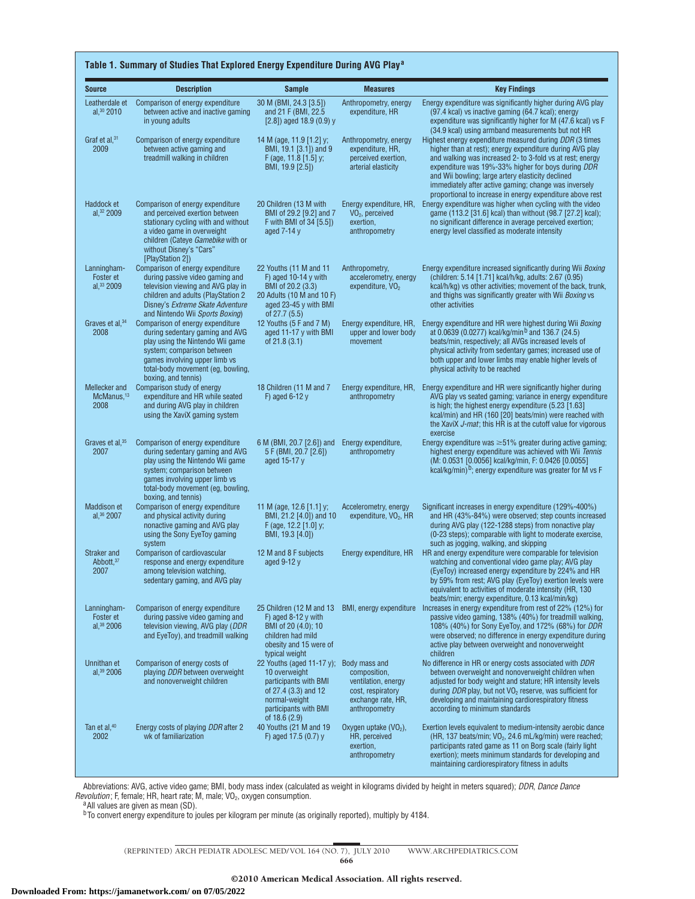| <b>Source</b>                                   | <b>Description</b>                                                                                                                                                                                                                 | <b>Sample</b>                                                                                                                                                        | <b>Measures</b>                                                                                 | <b>Key Findings</b>                                                                                                                                                                                                                                                                                                                                                                                               |
|-------------------------------------------------|------------------------------------------------------------------------------------------------------------------------------------------------------------------------------------------------------------------------------------|----------------------------------------------------------------------------------------------------------------------------------------------------------------------|-------------------------------------------------------------------------------------------------|-------------------------------------------------------------------------------------------------------------------------------------------------------------------------------------------------------------------------------------------------------------------------------------------------------------------------------------------------------------------------------------------------------------------|
| Leatherdale et<br>al, 30 2010                   | Comparison of energy expenditure<br>between active and inactive gaming<br>in young adults                                                                                                                                          | 30 M (BMI, 24.3 [3.5])<br>and 21 F (BMI, 22.5)<br>$[2.8]$ ) aged 18.9 (0.9) y                                                                                        | Anthropometry, energy<br>expenditure, HR                                                        | Energy expenditure was significantly higher during AVG play<br>(97.4 kcal) vs inactive gaming (64.7 kcal); energy<br>expenditure was significantly higher for M (47.6 kcal) vs F<br>(34.9 kcal) using armband measurements but not HR                                                                                                                                                                             |
| Graf et al, $31$<br>2009                        | Comparison of energy expenditure<br>between active gaming and<br>treadmill walking in children                                                                                                                                     | 14 M (age, 11.9 [1.2] y;<br>BMI, 19.1 [3.1]) and 9<br>F (age, 11.8 [1.5] y;<br>BMI, 19.9 [2.5])                                                                      | Anthropometry, energy<br>expenditure, HR,<br>perceived exertion,<br>arterial elasticity         | Highest energy expenditure measured during DDR (3 times<br>higher than at rest); energy expenditure during AVG play<br>and walking was increased 2- to 3-fold vs at rest; energy<br>expenditure was 19%-33% higher for boys during DDR<br>and Wii bowling; large artery elasticity declined<br>immediately after active gaming; change was inversely<br>proportional to increase in energy expenditure above rest |
| Haddock et<br>al, 32 2009                       | Comparison of energy expenditure<br>and perceived exertion between<br>stationary cycling with and without<br>a video game in overweight<br>children (Cateye Gamebike with or<br>without Disney's "Cars"<br>[PlayStation 2])        | 20 Children (13 M with<br>BMI of 29.2 [9.2] and 7<br>F with BMI of 34 [5.5])<br>aged $7-14y$                                                                         | Energy expenditure, HR,<br>VO <sub>2</sub> , perceived<br>exertion,<br>anthropometry            | Energy expenditure was higher when cycling with the video<br>game (113.2 [31.6] kcal) than without (98.7 [27.2] kcal);<br>no significant difference in average perceived exertion;<br>energy level classified as moderate intensity                                                                                                                                                                               |
| Lanningham-<br>Foster et<br>al, $33$ 2009       | Comparison of energy expenditure<br>during passive video gaming and<br>television viewing and AVG play in<br>children and adults (PlayStation 2<br>Disney's Extreme Skate Adventure<br>and Nintendo Wii Sports Boxing)             | 22 Youths (11 M and 11<br>F) aged 10-14 $y$ with<br>BMI of 20.2 (3.3)<br>20 Adults (10 M and 10 F)<br>aged 23-45 y with BMI<br>of 27.7 (5.5)                         | Anthropometry,<br>accelerometry, energy<br>expenditure, VO <sub>2</sub>                         | Energy expenditure increased significantly during Wii Boxing<br>(children: 5.14 [1.71] kcal/h/kg, adults: 2.67 (0.95)<br>kcal/h/kg) vs other activities; movement of the back, trunk,<br>and thighs was significantly greater with Wii Boxing vs<br>other activities                                                                                                                                              |
| Graves et al, 34<br>2008                        | Comparison of energy expenditure<br>during sedentary gaming and AVG<br>play using the Nintendo Wii game<br>system; comparison between<br>games involving upper limb vs<br>total-body movement (eg, bowling,<br>boxing, and tennis) | 12 Youths (5 F and 7 M)<br>aged 11-17 y with BMI<br>of 21.8 (3.1)                                                                                                    | Energy expenditure, HR,<br>upper and lower body<br>movement                                     | Energy expenditure and HR were highest during Wii Boxing<br>at 0.0639 (0.0277) kcal/kg/min <sup>b</sup> and 136.7 (24.5)<br>beats/min, respectively; all AVGs increased levels of<br>physical activity from sedentary games; increased use of<br>both upper and lower limbs may enable higher levels of<br>physical activity to be reached                                                                        |
| Mellecker and<br>McManus. <sup>13</sup><br>2008 | Comparison study of energy<br>expenditure and HR while seated<br>and during AVG play in children<br>using the XaviX gaming system                                                                                                  | 18 Children (11 M and 7<br>F) aged $6-12y$                                                                                                                           | Energy expenditure, HR,<br>anthropometry                                                        | Energy expenditure and HR were significantly higher during<br>AVG play vs seated gaming; variance in energy expenditure<br>is high; the highest energy expenditure (5.23 [1.63]<br>kcal/min) and HR (160 [20] beats/min) were reached with<br>the XaviX J-mat; this HR is at the cutoff value for vigorous<br>exercise                                                                                            |
| Graves et al. <sup>35</sup><br>2007             | Comparison of energy expenditure<br>during sedentary gaming and AVG<br>play using the Nintendo Wii game<br>system; comparison between<br>games involving upper limb vs<br>total-body movement (eg, bowling,<br>boxing, and tennis) | 6 M (BMI, 20.7 [2.6]) and<br>5 F (BMI, 20.7 [2.6])<br>aged 15-17 y                                                                                                   | Energy expenditure,<br>anthropometry                                                            | Energy expenditure was $\geq 51\%$ greater during active gaming;<br>highest energy expenditure was achieved with Wii Tennis<br>(M: 0.0531 [0.0056] kcal/kg/min, F: 0.0426 [0.0055]<br>kcal/kg/min) <sup>b</sup> ; energy expenditure was greater for M vs F                                                                                                                                                       |
| <b>Maddison et</b><br>al, 36 2007               | Comparison of energy expenditure<br>and physical activity during<br>nonactive gaming and AVG play<br>using the Sony EyeToy gaming<br>system                                                                                        | 11 M (age, 12.6 [1.1] y;<br>BMI, 21.2 [4.0]) and 10<br>F (age, $12.2$ [1.0] y;<br>BMI, 19.3 [4.0])                                                                   | Accelerometry, energy<br>expenditure, $VO_2$ , HR                                               | Significant increases in energy expenditure (129%-400%)<br>and HR (43%-84%) were observed; step counts increased<br>during AVG play (122-1288 steps) from nonactive play<br>(0-23 steps); comparable with light to moderate exercise,<br>such as jogging, walking, and skipping                                                                                                                                   |
| Straker and<br>Abbott, 37<br>2007               | Comparison of cardiovascular<br>response and energy expenditure<br>among television watching,<br>sedentary gaming, and AVG play                                                                                                    | 12 M and 8 F subjects<br>aged $9-12y$                                                                                                                                | Energy expenditure, HR                                                                          | HR and energy expenditure were comparable for television<br>watching and conventional video game play; AVG play<br>(EyeToy) increased energy expenditure by 224% and HR<br>by 59% from rest; AVG play (EyeToy) exertion levels were<br>equivalent to activities of moderate intensity (HR, 130<br>beats/min; energy expenditure, 0.13 kcal/min/kg)                                                                |
| Lanningham-<br>Foster et<br>al, 38 2006         | Comparison of energy expenditure<br>during passive video gaming and<br>television viewing, AVG play (DDR<br>and EyeToy), and treadmill walking                                                                                     | 25 Children (12 M and 13<br>F) aged 8-12 v with<br>BMI of 20 (4.0); 10<br>children had mild<br>obesity and 15 were of<br>typical weight                              |                                                                                                 | BMI, energy expenditure Increases in energy expenditure from rest of 22% (12%) for<br>passive video gaming, 138% (40%) for treadmill walking,<br>108% (40%) for Sony EyeToy, and 172% (68%) for DDR<br>were observed; no difference in energy expenditure during<br>active play between overweight and nonoverweight<br>children                                                                                  |
| Unnithan et<br>al, $39$ 2006                    | Comparison of energy costs of<br>playing DDR between overweight<br>and nonoverweight children                                                                                                                                      | 22 Youths (aged 11-17 y); Body mass and<br>10 overweight<br>participants with BMI<br>of 27.4 (3.3) and 12<br>normal-weight<br>participants with BMI<br>of 18.6 (2.9) | composition,<br>ventilation, energy<br>cost, respiratory<br>exchange rate, HR,<br>anthropometry | No difference in HR or energy costs associated with DDR<br>between overweight and nonoverweight children when<br>adjusted for body weight and stature; HR intensity levels<br>during DDR play, but not VO <sub>2</sub> reserve, was sufficient for<br>developing and maintaining cardiorespiratory fitness<br>according to minimum standards                                                                      |
| Tan et al, <sup>40</sup><br>2002                | Energy costs of playing <i>DDR</i> after 2<br>wk of familiarization                                                                                                                                                                | 40 Youths (21 M and 19<br>F) aged 17.5 $(0.7)$ y                                                                                                                     | Oxygen uptake $(VO2)$ ,<br>HR, perceived<br>exertion,<br>anthropometry                          | Exertion levels equivalent to medium-intensity aerobic dance<br>(HR, 137 beats/min; VO <sub>2</sub> , 24.6 mL/kg/min) were reached;<br>participants rated game as 11 on Borg scale (fairly light<br>exertion); meets minimum standards for developing and<br>maintaining cardiorespiratory fitness in adults                                                                                                      |

Abbreviations: AVG, active video game; BMI, body mass index (calculated as weight in kilograms divided by height in meters squared); *DDR*, *Dance Dance Revolution*; F, female; HR, heart rate; M, male; VO<sub>2</sub>, oxygen consumption.<br><sup>a</sup>All values are given as mean (SD).

<sup>b</sup>To convert energy expenditure to joules per kilogram per minute (as originally reported), multiply by 4184.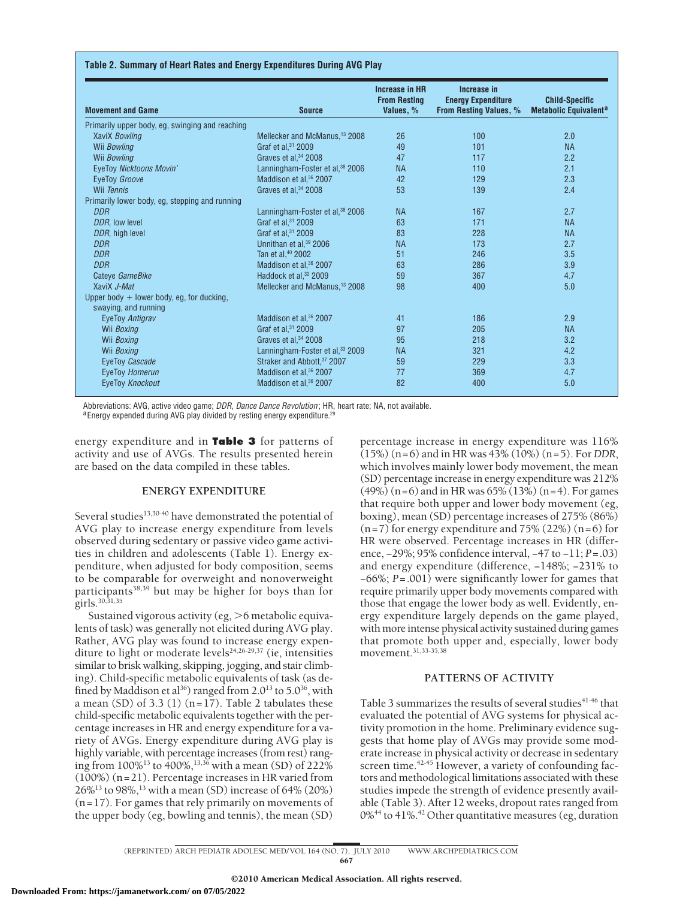#### **Table 2. Summary of Heart Rates and Energy Expenditures During AVG Play**

| <b>Movement and Game</b>                                          | <b>Source</b>                               | Increase in HR<br><b>From Resting</b><br>Values, % | Increase in<br><b>Energy Expenditure</b><br>From Resting Values, % | <b>Child-Specific</b><br><b>Metabolic Equivalent<sup>a</sup></b> |
|-------------------------------------------------------------------|---------------------------------------------|----------------------------------------------------|--------------------------------------------------------------------|------------------------------------------------------------------|
| Primarily upper body, eg, swinging and reaching                   |                                             |                                                    |                                                                    |                                                                  |
| XaviX Bowling                                                     | Mellecker and McManus, <sup>13</sup> 2008   | 26                                                 | 100                                                                | 2.0                                                              |
| Wii Bowling                                                       | Graf et al. <sup>31</sup> 2009              | 49                                                 | 101                                                                | <b>NA</b>                                                        |
| Wii Bowling                                                       | Graves et al. <sup>34</sup> 2008            | 47                                                 | 117                                                                | 2.2                                                              |
| EyeToy Nicktoons Movin'                                           | Lanningham-Foster et al, <sup>38</sup> 2006 | <b>NA</b>                                          | 110                                                                | 2.1                                                              |
| EyeToy Groove                                                     | Maddison et al, 36 2007                     | 42                                                 | 129                                                                | 2.3                                                              |
| Wii Tennis                                                        | Graves et al. <sup>34</sup> 2008            | 53                                                 | 139                                                                | 2.4                                                              |
| Primarily lower body, eg, stepping and running                    |                                             |                                                    |                                                                    |                                                                  |
| DDR                                                               | Lanningham-Foster et al, <sup>38</sup> 2006 | <b>NA</b>                                          | 167                                                                | 2.7                                                              |
| DDR. low level                                                    | Graf et al. <sup>31</sup> 2009              | 63                                                 | 171                                                                | <b>NA</b>                                                        |
| DDR, high level                                                   | Graf et al, 31 2009                         | 83                                                 | 228                                                                | <b>NA</b>                                                        |
| <b>DDR</b>                                                        | Unnithan et al, <sup>39</sup> 2006          | <b>NA</b>                                          | 173                                                                | 2.7                                                              |
| <b>DDR</b>                                                        | Tan et al, 40 2002                          | 51                                                 | 246                                                                | 3.5                                                              |
| <b>DDR</b>                                                        | Maddison et al, <sup>36</sup> 2007          | 63                                                 | 286                                                                | 3.9                                                              |
| Cateve GameBike                                                   | Haddock et al. <sup>32</sup> 2009           | 59                                                 | 367                                                                | 4.7                                                              |
| XaviX J-Mat                                                       | Mellecker and McManus, <sup>13</sup> 2008   | 98                                                 | 400                                                                | 5.0                                                              |
| Upper body + lower body, eg, for ducking,<br>swaying, and running |                                             |                                                    |                                                                    |                                                                  |
| EyeToy Antigrav                                                   | Maddison et al. <sup>36</sup> 2007          | 41                                                 | 186                                                                | 2.9                                                              |
| Wii Boxing                                                        | Graf et al, 31 2009                         | 97                                                 | 205                                                                | <b>NA</b>                                                        |
| Wii Boxing                                                        | Graves et al, 34 2008                       | 95                                                 | 218                                                                | 3.2                                                              |
| Wii Boxing                                                        | Lanningham-Foster et al, 33 2009            | <b>NA</b>                                          | 321                                                                | 4.2                                                              |
| EyeToy Cascade                                                    | Straker and Abbott, 37 2007                 | 59                                                 | 229                                                                | 3.3                                                              |
| EveToy Homerun                                                    | Maddison et al, <sup>36</sup> 2007          | 77                                                 | 369                                                                | 4.7                                                              |
| EyeToy Knockout                                                   | Maddison et al, <sup>36</sup> 2007          | 82                                                 | 400                                                                | 5.0                                                              |

Abbreviations: AVG, active video game; *DDR, Dance Dance Revolution* ; HR, heart rate; NA, not available.<br><sup>a</sup>Energy expended during AVG play divided by resting energy expenditure.<sup>29</sup>

energy expenditure and in **Table 3** for patterns of activity and use of AVGs. The results presented herein are based on the data compiled in these tables.

#### **ENERGY EXPENDITURE**

Several studies<sup>13,30-40</sup> have demonstrated the potential of AVG play to increase energy expenditure from levels observed during sedentary or passive video game activities in children and adolescents (Table 1). Energy expenditure, when adjusted for body composition, seems to be comparable for overweight and nonoverweight participants38,39 but may be higher for boys than for girls.30,31,35

Sustained vigorous activity (eg,  $>6$  metabolic equivalents of task) was generally not elicited during AVG play. Rather, AVG play was found to increase energy expenditure to light or moderate levels $24,26-29,37$  (ie, intensities similar to brisk walking, skipping, jogging, and stair climbing). Child-specific metabolic equivalents of task (as defined by Maddison et al<sup>36</sup>) ranged from 2.0<sup>13</sup> to 5.0<sup>36</sup>, with a mean (SD) of 3.3 (1)  $(n=17)$ . Table 2 tabulates these child-specific metabolic equivalents together with the percentage increases in HR and energy expenditure for a variety of AVGs. Energy expenditure during AVG play is highly variable, with percentage increases (from rest) ranging from 100%13 to 400%,13,36 with a mean (SD) of 222% (100%) (n=21). Percentage increases in HR varied from 26%<sup>13</sup> to 98%,<sup>13</sup> with a mean (SD) increase of 64% (20%)  $(n=17)$ . For games that rely primarily on movements of the upper body (eg, bowling and tennis), the mean (SD)

percentage increase in energy expenditure was 116% (15%) (n=6) and in HR was 43% (10%) (n=5). For *DDR*, which involves mainly lower body movement, the mean (SD) percentage increase in energy expenditure was 212%  $(49%)$  (n=6) and in HR was 65% (13%) (n=4). For games that require both upper and lower body movement (eg, boxing), mean (SD) percentage increases of 275% (86%)  $(n=7)$  for energy expenditure and 75% (22%)  $(n=6)$  for HR were observed. Percentage increases in HR (difference, −29%; 95% confidence interval, −47 to −11; *P*=.03) and energy expenditure (difference, −148%; −231% to −66%; *P*=.001) were significantly lower for games that require primarily upper body movements compared with those that engage the lower body as well. Evidently, energy expenditure largely depends on the game played, with more intense physical activity sustained during games that promote both upper and, especially, lower body movement.31,33-35,38

## **PATTERNS OF ACTIVITY**

Table 3 summarizes the results of several studies<sup>41-46</sup> that evaluated the potential of AVG systems for physical activity promotion in the home. Preliminary evidence suggests that home play of AVGs may provide some moderate increase in physical activity or decrease in sedentary screen time. $42-45$  However, a variety of confounding factors and methodological limitations associated with these studies impede the strength of evidence presently available (Table 3). After 12 weeks, dropout rates ranged from  $0\%$ <sup>44</sup> to 41%.<sup>42</sup> Other quantitative measures (eg, duration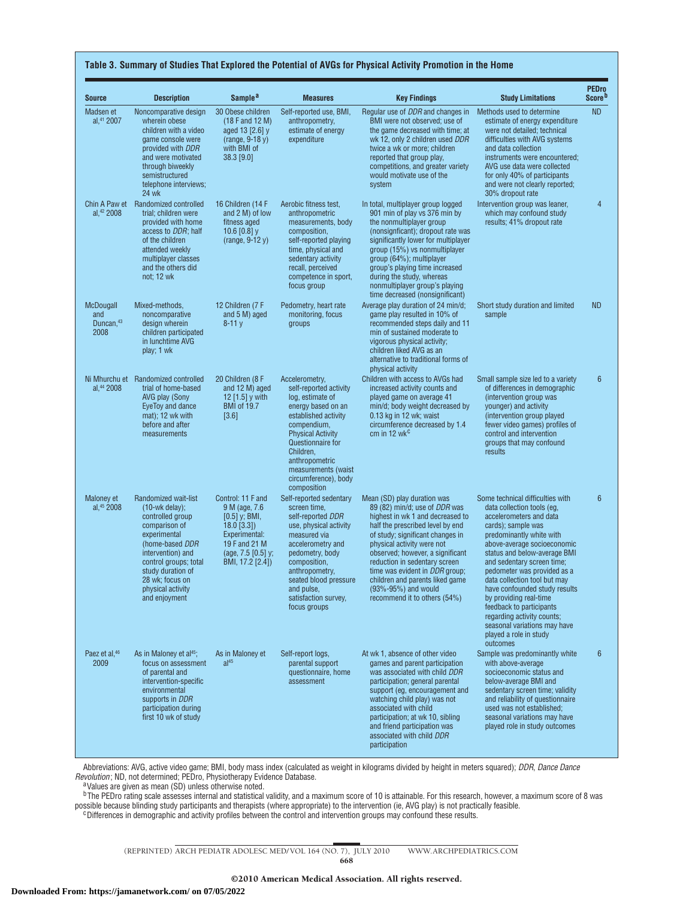| <b>Source</b>                           | <b>Description</b>                                                                                                                                                                                                                                   | Sample <sup>a</sup>                                                                                                                                  | <b>Measures</b>                                                                                                                                                                                                                                                         | <b>Key Findings</b>                                                                                                                                                                                                                                                                                                                                                                                                   | <b>Study Limitations</b>                                                                                                                                                                                                                                                                                                                                                                                                                                                                           | <b>PEDro</b><br>Score <sup>b</sup> |
|-----------------------------------------|------------------------------------------------------------------------------------------------------------------------------------------------------------------------------------------------------------------------------------------------------|------------------------------------------------------------------------------------------------------------------------------------------------------|-------------------------------------------------------------------------------------------------------------------------------------------------------------------------------------------------------------------------------------------------------------------------|-----------------------------------------------------------------------------------------------------------------------------------------------------------------------------------------------------------------------------------------------------------------------------------------------------------------------------------------------------------------------------------------------------------------------|----------------------------------------------------------------------------------------------------------------------------------------------------------------------------------------------------------------------------------------------------------------------------------------------------------------------------------------------------------------------------------------------------------------------------------------------------------------------------------------------------|------------------------------------|
| Madsen et<br>al, <sup>41</sup> 2007     | Noncomparative design<br>wherein obese<br>children with a video<br>game console were<br>provided with DDR<br>and were motivated<br>through biweekly<br>semistructured<br>telephone interviews;<br><b>24 wk</b>                                       | 30 Obese children<br>$(18$ F and 12 M)<br>aged 13 [2.6] y<br>$(range, 9-18y)$<br>with BMI of<br>38.3 [9.0]                                           | Self-reported use, BMI,<br>anthropometry,<br>estimate of energy<br>expenditure                                                                                                                                                                                          | Regular use of <i>DDR</i> and changes in<br>BMI were not observed; use of<br>the game decreased with time; at<br>wk 12, only 2 children used DDR<br>twice a wk or more; children<br>reported that group play,<br>competitions, and greater variety<br>would motivate use of the<br>system                                                                                                                             | Methods used to determine<br>estimate of energy expenditure<br>were not detailed; technical<br>difficulties with AVG systems<br>and data collection<br>instruments were encountered;<br>AVG use data were collected<br>for only 40% of participants<br>and were not clearly reported;<br>30% dropout rate                                                                                                                                                                                          | <b>ND</b>                          |
| Chin A Paw et<br>al, <sup>42</sup> 2008 | Randomized controlled<br>trial; children were<br>provided with home<br>access to <i>DDR</i> ; half<br>of the children<br>attended weekly<br>multiplayer classes<br>and the others did<br>not; 12 wk                                                  | 16 Children (14 F<br>and 2 M) of low<br>fitness aged<br>10.6 $[0.8]$ y<br>$(range, 9-12 y)$                                                          | Aerobic fitness test,<br>anthropometric<br>measurements, body<br>composition,<br>self-reported playing<br>time, physical and<br>sedentary activity<br>recall, perceived<br>competence in sport,<br>focus group                                                          | In total, multiplayer group logged<br>901 min of play vs 376 min by<br>the nonmultiplayer group<br>(nonsignficant); dropout rate was<br>significantly lower for multiplayer<br>group (15%) vs nonmultiplayer<br>group (64%); multiplayer<br>group's playing time increased<br>during the study, whereas<br>nonmultiplayer group's playing<br>time decreased (nonsignificant)                                          | Intervention group was leaner,<br>which may confound study<br>results; 41% dropout rate                                                                                                                                                                                                                                                                                                                                                                                                            | $\overline{4}$                     |
| McDougall<br>and<br>Duncan, 43<br>2008  | Mixed-methods,<br>noncomparative<br>design wherein<br>children participated<br>in lunchtime AVG<br>play; 1 wk                                                                                                                                        | 12 Children (7 F<br>and 5 M) aged<br>$8 - 11y$                                                                                                       | Pedometry, heart rate<br>monitoring, focus<br>groups                                                                                                                                                                                                                    | Average play duration of 24 min/d;<br>game play resulted in 10% of<br>recommended steps daily and 11<br>min of sustained moderate to<br>vigorous physical activity;<br>children liked AVG as an<br>alternative to traditional forms of<br>physical activity                                                                                                                                                           | Short study duration and limited<br>sample                                                                                                                                                                                                                                                                                                                                                                                                                                                         | <b>ND</b>                          |
| al, 44 2008                             | Ni Mhurchu et Randomized controlled<br>trial of home-based<br>AVG play (Sony<br>EyeToy and dance<br>mat); 12 wk with<br>before and after<br>measurements                                                                                             | 20 Children (8 F<br>and 12 M) aged<br>12 [1.5] y with<br><b>BMI of 19.7</b><br>$[3.6]$                                                               | Accelerometry,<br>self-reported activity<br>log, estimate of<br>energy based on an<br>established activity<br>compendium,<br><b>Physical Activity</b><br>Questionnaire for<br>Children.<br>anthropometric<br>measurements (waist<br>circumference), body<br>composition | Children with access to AVGs had<br>increased activity counts and<br>played game on average 41<br>min/d; body weight decreased by<br>$0.13$ kg in 12 wk; waist<br>circumference decreased by 1.4<br>cm in 12 wk <sup>c</sup>                                                                                                                                                                                          | Small sample size led to a variety<br>of differences in demographic<br>(intervention group was<br>younger) and activity<br>(intervention group played<br>fewer video games) profiles of<br>control and intervention<br>groups that may confound<br>results                                                                                                                                                                                                                                         | $6\phantom{1}$                     |
| Maloney et<br>al. <sup>45</sup> 2008    | Randomized wait-list<br>$(10\text{-wk delay})$ ;<br>controlled group<br>comparison of<br>experimental<br>(home-based DDR<br>intervention) and<br>control groups; total<br>study duration of<br>28 wk; focus on<br>physical activity<br>and enjoyment | Control: 11 F and<br>9 M (age, 7.6<br>$[0.5]$ y; BMI,<br>$18.0$ [3.3])<br>Experimental:<br>19 F and 21 M<br>(age, $7.5$ [0.5] y;<br>BMI, 17.2 [2.4]) | Self-reported sedentary<br>screen time,<br>self-reported DDR<br>use, physical activity<br>measured via<br>accelerometry and<br>pedometry, body<br>composition,<br>anthropometry,<br>seated blood pressure<br>and pulse,<br>satisfaction survey,<br>focus groups         | Mean (SD) play duration was<br>89 (82) min/d; use of <i>DDR</i> was<br>highest in wk 1 and decreased to<br>half the prescribed level by end<br>of study; significant changes in<br>physical activity were not<br>observed; however, a significant<br>reduction in sedentary screen<br>time was evident in <i>DDR</i> group;<br>children and parents liked game<br>(93%-95%) and would<br>recommend it to others (54%) | Some technical difficulties with<br>data collection tools (eq.<br>accelerometers and data<br>cards); sample was<br>predominantly white with<br>above-average socioeconomic<br>status and below-average BMI<br>and sedentary screen time;<br>pedometer was provided as a<br>data collection tool but may<br>have confounded study results<br>by providing real-time<br>feedback to participants<br>regarding activity counts;<br>seasonal variations may have<br>played a role in study<br>outcomes | $6\phantom{1}6$                    |
| Paez et al, <sup>46</sup><br>2009       | As in Maloney et al <sup>45</sup> ;<br>focus on assessment<br>of parental and<br>intervention-specific<br>environmental<br>supports in DDR<br>participation during<br>first 10 wk of study                                                           | As in Maloney et<br>al <sup>45</sup>                                                                                                                 | Self-report logs,<br>parental support<br>questionnaire, home<br>assessment                                                                                                                                                                                              | At wk 1, absence of other video<br>games and parent participation<br>was associated with child DDR<br>participation; general parental<br>support (eq. encouragement and<br>watching child play) was not<br>associated with child<br>participation; at wk 10, sibling<br>and friend participation was<br>associated with child DDR<br>participation                                                                    | Sample was predominantly white<br>with above-average<br>socioeconomic status and<br>below-average BMI and<br>sedentary screen time; validity<br>and reliability of questionnaire<br>used was not established;<br>seasonal variations may have<br>played role in study outcomes                                                                                                                                                                                                                     | $6\phantom{1}6$                    |

Abbreviations: AVG, active video game; BMI, body mass index (calculated as weight in kilograms divided by height in meters squared); *DDR*, *Dance Dance*

*Revolution*; ND, not determined; PEDro, Physiotherapy Evidence Database.<br><sup>a</sup>Values are given as mean (SD) unless otherwise noted.

 $^{\rm b}$ The PEDro rating scale assesses internal and statistical validity, and a maximum score of 10 is attainable. For this research, however, a maximum score of 8 was possible because blinding study participants and therapists (where appropriate) to the intervention (ie, AVG play) is not practically feasible.<br>Cifferences in demographic and activity profiles between the control and inter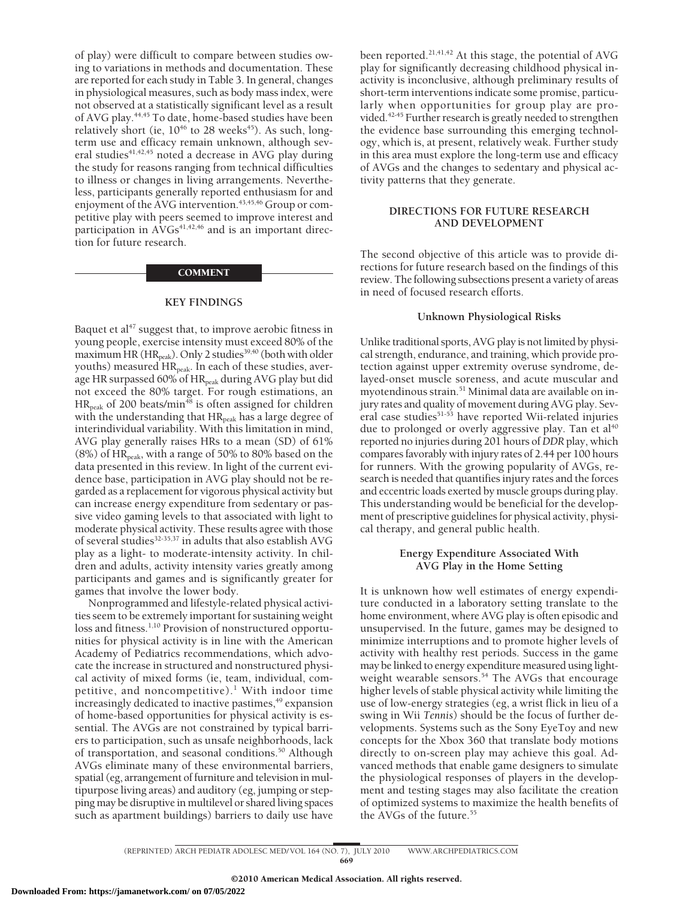of play) were difficult to compare between studies owing to variations in methods and documentation. These are reported for each study in Table 3. In general, changes in physiological measures, such as body mass index, were not observed at a statistically significant level as a result of AVG play.<sup>44,45</sup> To date, home-based studies have been relatively short (ie,  $10^{46}$  to 28 weeks<sup>45</sup>). As such, longterm use and efficacy remain unknown, although several studies<sup>41,42,45</sup> noted a decrease in AVG play during the study for reasons ranging from technical difficulties to illness or changes in living arrangements. Nevertheless, participants generally reported enthusiasm for and enjoyment of the AVG intervention.<sup>43,45,46</sup> Group or competitive play with peers seemed to improve interest and participation in  $AVGs^{41,42,46}$  and is an important direction for future research.

#### **COMMENT**

#### **KEY FINDINGS**

Baquet et al<sup>47</sup> suggest that, to improve aerobic fitness in young people, exercise intensity must exceed 80% of the maximum HR ( $HR_{peak}$ ). Only 2 studies<sup>39,40</sup> (both with older youths) measured HR<sub>peak</sub>. In each of these studies, average HR surpassed 60% of HR<sub>peak</sub> during AVG play but did not exceed the 80% target. For rough estimations, an  $HR_{peak}$  of 200 beats/min<sup>48</sup> is often assigned for children with the understanding that HR<sub>peak</sub> has a large degree of interindividual variability. With this limitation in mind, AVG play generally raises HRs to a mean (SD) of 61% (8%) of  $HR_{peak}$ , with a range of 50% to 80% based on the data presented in this review. In light of the current evidence base, participation in AVG play should not be regarded as a replacement for vigorous physical activity but can increase energy expenditure from sedentary or passive video gaming levels to that associated with light to moderate physical activity. These results agree with those of several studies<sup>32-35,37</sup> in adults that also establish AVG play as a light- to moderate-intensity activity. In children and adults, activity intensity varies greatly among participants and games and is significantly greater for games that involve the lower body.

Nonprogrammed and lifestyle-related physical activities seem to be extremely important for sustaining weight loss and fitness.<sup>1,10</sup> Provision of nonstructured opportunities for physical activity is in line with the American Academy of Pediatrics recommendations, which advocate the increase in structured and nonstructured physical activity of mixed forms (ie, team, individual, competitive, and noncompetitive). $<sup>1</sup>$  With indoor time</sup> increasingly dedicated to inactive pastimes,<sup>49</sup> expansion of home-based opportunities for physical activity is essential. The AVGs are not constrained by typical barriers to participation, such as unsafe neighborhoods, lack of transportation, and seasonal conditions.<sup>50</sup> Although AVGs eliminate many of these environmental barriers, spatial (eg, arrangement of furniture and television in multipurpose living areas) and auditory (eg, jumping or stepping may be disruptive in multilevel or shared living spaces such as apartment buildings) barriers to daily use have been reported.<sup>21,41,42</sup> At this stage, the potential of AVG play for significantly decreasing childhood physical inactivity is inconclusive, although preliminary results of short-term interventions indicate some promise, particularly when opportunities for group play are provided.<sup>42-45</sup> Further research is greatly needed to strengthen the evidence base surrounding this emerging technology, which is, at present, relatively weak. Further study in this area must explore the long-term use and efficacy of AVGs and the changes to sedentary and physical activity patterns that they generate.

## **DIRECTIONS FOR FUTURE RESEARCH AND DEVELOPMENT**

The second objective of this article was to provide directions for future research based on the findings of this review. The following subsections present a variety of areas in need of focused research efforts.

### **Unknown Physiological Risks**

Unlike traditional sports, AVG play is not limited by physical strength, endurance, and training, which provide protection against upper extremity overuse syndrome, delayed-onset muscle soreness, and acute muscular and myotendinous strain.<sup>51</sup> Minimal data are available on injury rates and quality of movement during AVG play. Several case studies<sup>51-53</sup> have reported Wii-related injuries due to prolonged or overly aggressive play. Tan et al<sup>40</sup> reported no injuries during 201 hours of*DDR* play, which compares favorably with injury rates of 2.44 per 100 hours for runners. With the growing popularity of AVGs, research is needed that quantifies injury rates and the forces and eccentric loads exerted by muscle groups during play. This understanding would be beneficial for the development of prescriptive guidelines for physical activity, physical therapy, and general public health.

## **Energy Expenditure Associated With AVG Play in the Home Setting**

It is unknown how well estimates of energy expenditure conducted in a laboratory setting translate to the home environment, where AVG play is often episodic and unsupervised. In the future, games may be designed to minimize interruptions and to promote higher levels of activity with healthy rest periods. Success in the game may be linked to energy expenditure measured using lightweight wearable sensors.<sup>54</sup> The AVGs that encourage higher levels of stable physical activity while limiting the use of low-energy strategies (eg, a wrist flick in lieu of a swing in Wii *Tennis*) should be the focus of further developments. Systems such as the Sony EyeToy and new concepts for the Xbox 360 that translate body motions directly to on-screen play may achieve this goal. Advanced methods that enable game designers to simulate the physiological responses of players in the development and testing stages may also facilitate the creation of optimized systems to maximize the health benefits of the AVGs of the future.<sup>55</sup>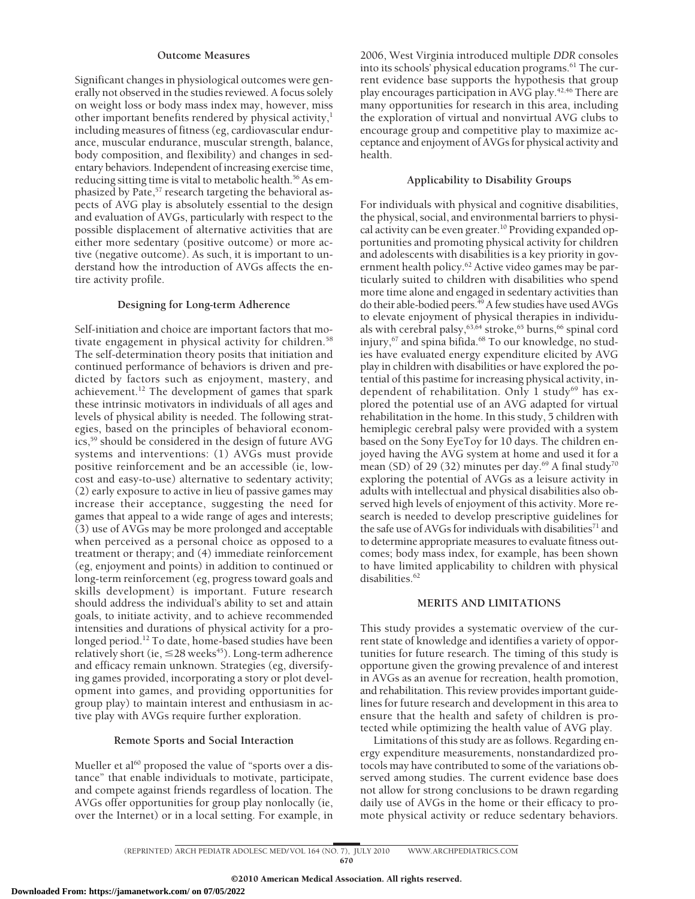#### **Outcome Measures**

Significant changes in physiological outcomes were generally not observed in the studies reviewed. A focus solely on weight loss or body mass index may, however, miss other important benefits rendered by physical activity,<sup>1</sup> including measures of fitness (eg, cardiovascular endurance, muscular endurance, muscular strength, balance, body composition, and flexibility) and changes in sedentary behaviors. Independent of increasing exercise time, reducing sitting time is vital to metabolic health.<sup>56</sup> As emphasized by Pate,<sup>57</sup> research targeting the behavioral aspects of AVG play is absolutely essential to the design and evaluation of AVGs, particularly with respect to the possible displacement of alternative activities that are either more sedentary (positive outcome) or more active (negative outcome). As such, it is important to understand how the introduction of AVGs affects the entire activity profile.

#### **Designing for Long-term Adherence**

Self-initiation and choice are important factors that motivate engagement in physical activity for children.<sup>58</sup> The self-determination theory posits that initiation and continued performance of behaviors is driven and predicted by factors such as enjoyment, mastery, and achievement.<sup>12</sup> The development of games that spark these intrinsic motivators in individuals of all ages and levels of physical ability is needed. The following strategies, based on the principles of behavioral economics,59 should be considered in the design of future AVG systems and interventions: (1) AVGs must provide positive reinforcement and be an accessible (ie, lowcost and easy-to-use) alternative to sedentary activity; (2) early exposure to active in lieu of passive games may increase their acceptance, suggesting the need for games that appeal to a wide range of ages and interests; (3) use of AVGs may be more prolonged and acceptable when perceived as a personal choice as opposed to a treatment or therapy; and (4) immediate reinforcement (eg, enjoyment and points) in addition to continued or long-term reinforcement (eg, progress toward goals and skills development) is important. Future research should address the individual's ability to set and attain goals, to initiate activity, and to achieve recommended intensities and durations of physical activity for a prolonged period.12 To date, home-based studies have been relatively short (ie,  $\leq$ 28 weeks $\mathrm{^{45}}$ ). Long-term adherence and efficacy remain unknown. Strategies (eg, diversifying games provided, incorporating a story or plot development into games, and providing opportunities for group play) to maintain interest and enthusiasm in active play with AVGs require further exploration.

#### **Remote Sports and Social Interaction**

Mueller et al<sup>60</sup> proposed the value of "sports over a distance" that enable individuals to motivate, participate, and compete against friends regardless of location. The AVGs offer opportunities for group play nonlocally (ie, over the Internet) or in a local setting. For example, in

2006, West Virginia introduced multiple *DDR* consoles into its schools' physical education programs.<sup>61</sup> The current evidence base supports the hypothesis that group play encourages participation in  $\widehat{AVG}$  play.<sup>42,46</sup> There are many opportunities for research in this area, including the exploration of virtual and nonvirtual AVG clubs to encourage group and competitive play to maximize acceptance and enjoyment of AVGs for physical activity and health.

## **Applicability to Disability Groups**

For individuals with physical and cognitive disabilities, the physical, social, and environmental barriers to physical activity can be even greater.<sup>10</sup> Providing expanded opportunities and promoting physical activity for children and adolescents with disabilities is a key priority in government health policy.<sup>62</sup> Active video games may be particularly suited to children with disabilities who spend more time alone and engaged in sedentary activities than do their able-bodied peers.<sup>49</sup> A few studies have used AVGs to elevate enjoyment of physical therapies in individuals with cerebral palsy, $^{63,64}$  stroke, $^{65}$  burns, $^{66}$  spinal cord injury,<sup>67</sup> and spina bifida.<sup>68</sup> To our knowledge, no studies have evaluated energy expenditure elicited by AVG play in children with disabilities or have explored the potential of this pastime for increasing physical activity, independent of rehabilitation. Only 1 study<sup>69</sup> has explored the potential use of an AVG adapted for virtual rehabilitation in the home. In this study, 5 children with hemiplegic cerebral palsy were provided with a system based on the Sony EyeToy for 10 days. The children enjoyed having the AVG system at home and used it for a mean (SD) of 29 (32) minutes per day.<sup>69</sup> A final study<sup>70</sup> exploring the potential of AVGs as a leisure activity in adults with intellectual and physical disabilities also observed high levels of enjoyment of this activity. More research is needed to develop prescriptive guidelines for the safe use of AVGs for individuals with disabilities<sup>71</sup> and to determine appropriate measures to evaluate fitness outcomes; body mass index, for example, has been shown to have limited applicability to children with physical disabilities.<sup>62</sup>

### **MERITS AND LIMITATIONS**

This study provides a systematic overview of the current state of knowledge and identifies a variety of opportunities for future research. The timing of this study is opportune given the growing prevalence of and interest in AVGs as an avenue for recreation, health promotion, and rehabilitation. This review provides important guidelines for future research and development in this area to ensure that the health and safety of children is protected while optimizing the health value of AVG play.

Limitations of this study are as follows. Regarding energy expenditure measurements, nonstandardized protocols may have contributed to some of the variations observed among studies. The current evidence base does not allow for strong conclusions to be drawn regarding daily use of AVGs in the home or their efficacy to promote physical activity or reduce sedentary behaviors.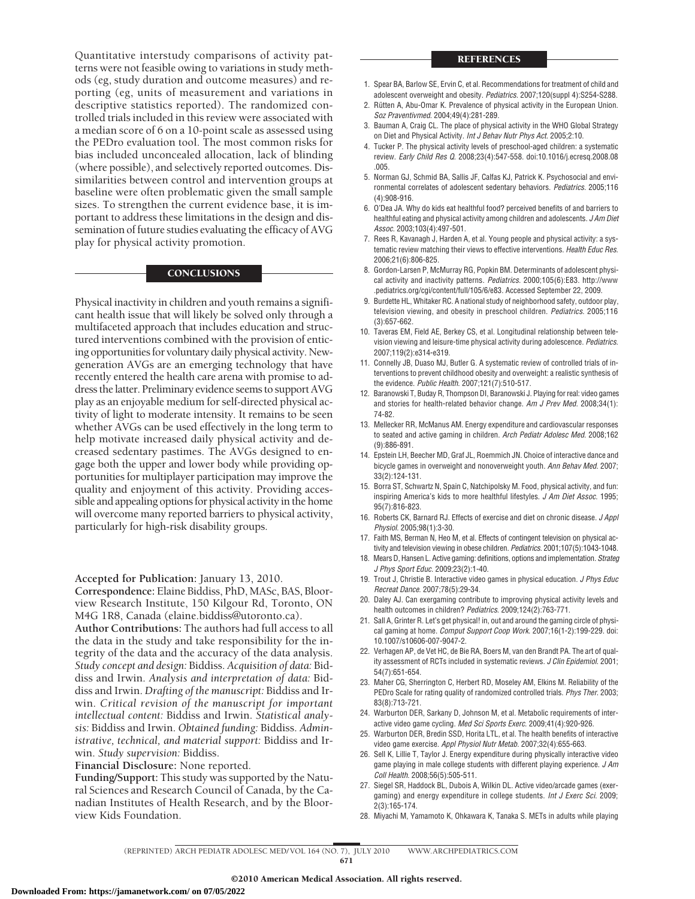#### **REFERENCES**

Quantitative interstudy comparisons of activity patterns were not feasible owing to variations in study methods (eg, study duration and outcome measures) and reporting (eg, units of measurement and variations in descriptive statistics reported). The randomized controlled trials included in this review were associated with a median score of 6 on a 10-point scale as assessed using the PEDro evaluation tool. The most common risks for bias included unconcealed allocation, lack of blinding (where possible), and selectively reported outcomes. Dissimilarities between control and intervention groups at baseline were often problematic given the small sample sizes. To strengthen the current evidence base, it is important to address these limitations in the design and dissemination of future studies evaluating the efficacy of AVG play for physical activity promotion.

#### **CONCLUSIONS**

Physical inactivity in children and youth remains a significant health issue that will likely be solved only through a multifaceted approach that includes education and structured interventions combined with the provision of enticing opportunities for voluntary daily physical activity. Newgeneration AVGs are an emerging technology that have recently entered the health care arena with promise to address the latter. Preliminary evidence seems to support AVG play as an enjoyable medium for self-directed physical activity of light to moderate intensity. It remains to be seen whether AVGs can be used effectively in the long term to help motivate increased daily physical activity and decreased sedentary pastimes. The AVGs designed to engage both the upper and lower body while providing opportunities for multiplayer participation may improve the quality and enjoyment of this activity. Providing accessible and appealing options for physical activity in the home will overcome many reported barriers to physical activity, particularly for high-risk disability groups.

**Accepted for Publication:** January 13, 2010. **Correspondence:** Elaine Biddiss, PhD, MASc, BAS, Bloorview Research Institute, 150 Kilgour Rd, Toronto, ON M4G 1R8, Canada (elaine.biddiss@utoronto.ca).

**Author Contributions:** The authors had full access to all the data in the study and take responsibility for the integrity of the data and the accuracy of the data analysis. *Study concept and design:* Biddiss. *Acquisition of data:* Biddiss and Irwin. *Analysis and interpretation of data:* Biddiss and Irwin. *Drafting of the manuscript:* Biddiss and Irwin. *Critical revision of the manuscript for important intellectual content:* Biddiss and Irwin. *Statistical analysis:* Biddiss and Irwin. *Obtained funding:* Biddiss. *Administrative, technical, and material support:* Biddiss and Irwin. *Study supervision:* Biddiss.

**Financial Disclosure:** None reported.

**Funding/Support:** This study was supported by the Natural Sciences and Research Council of Canada, by the Canadian Institutes of Health Research, and by the Bloorview Kids Foundation.

- 1. Spear BA, Barlow SE, Ervin C, et al. Recommendations for treatment of child and adolescent overweight and obesity. *Pediatrics*. 2007;120(suppl 4):S254-S288.
- 2. Rütten A, Abu-Omar K. Prevalence of physical activity in the European Union. *Soz Praventivmed*. 2004;49(4):281-289.
- 3. Bauman A, Craig CL. The place of physical activity in the WHO Global Strategy on Diet and Physical Activity. *Int J Behav Nutr Phys Act*. 2005;2:10.
- 4. Tucker P. The physical activity levels of preschool-aged children: a systematic review. *Early Child Res Q*. 2008;23(4):547-558. doi:10.1016/j.ecresq.2008.08 .005.
- 5. Norman GJ, Schmid BA, Sallis JF, Calfas KJ, Patrick K. Psychosocial and environmental correlates of adolescent sedentary behaviors. *Pediatrics*. 2005;116 (4):908-916.
- 6. O'Dea JA. Why do kids eat healthful food? perceived benefits of and barriers to healthful eating and physical activity among children and adolescents. *J Am Diet Assoc*. 2003;103(4):497-501.
- 7. Rees R, Kavanagh J, Harden A, et al. Young people and physical activity: a systematic review matching their views to effective interventions. *Health Educ Res*. 2006;21(6):806-825.
- 8. Gordon-Larsen P, McMurray RG, Popkin BM. Determinants of adolescent physical activity and inactivity patterns. *Pediatrics*. 2000;105(6):E83. http://www .pediatrics.org/cgi/content/full/105/6/e83. Accessed September 22, 2009.
- 9. Burdette HL, Whitaker RC. A national study of neighborhood safety, outdoor play, television viewing, and obesity in preschool children. *Pediatrics*. 2005;116 (3):657-662.
- 10. Taveras EM, Field AE, Berkey CS, et al. Longitudinal relationship between television viewing and leisure-time physical activity during adolescence. *Pediatrics*. 2007;119(2):e314-e319.
- 11. Connelly JB, Duaso MJ, Butler G. A systematic review of controlled trials of interventions to prevent childhood obesity and overweight: a realistic synthesis of the evidence. *Public Health*. 2007;121(7):510-517.
- 12. Baranowski T, Buday R, Thompson DI, Baranowski J. Playing for real: video games and stories for health-related behavior change. *Am J Prev Med*. 2008;34(1): 74-82.
- 13. Mellecker RR, McManus AM. Energy expenditure and cardiovascular responses to seated and active gaming in children. *Arch Pediatr Adolesc Med*. 2008;162 (9):886-891.
- 14. Epstein LH, Beecher MD, Graf JL, Roemmich JN. Choice of interactive dance and bicycle games in overweight and nonoverweight youth. *Ann Behav Med*. 2007; 33(2):124-131.
- 15. Borra ST, Schwartz N, Spain C, Natchipolsky M. Food, physical activity, and fun: inspiring America's kids to more healthful lifestyles. *J Am Diet Assoc*. 1995; 95(7):816-823.
- 16. Roberts CK, Barnard RJ. Effects of exercise and diet on chronic disease. *J Appl Physiol*. 2005;98(1):3-30.
- 17. Faith MS, Berman N, Heo M, et al. Effects of contingent television on physical activity and television viewing in obese children. *Pediatrics*. 2001;107(5):1043-1048.
- 18. Mears D, Hansen L. Active gaming: definitions, options and implementation. *Strateg J Phys Sport Educ*. 2009;23(2):1-40.
- 19. Trout J, Christie B. Interactive video games in physical education. *J Phys Educ Recreat Dance*. 2007;78(5):29-34.
- 20. Daley AJ. Can exergaming contribute to improving physical activity levels and health outcomes in children? *Pediatrics*. 2009;124(2):763-771.
- 21. Sall A, Grinter R. Let's get physical! in, out and around the gaming circle of physical gaming at home. *Comput Support Coop Work*. 2007;16(1-2):199-229. doi: 10.1007/s10606-007-9047-2.
- 22. Verhagen AP, de Vet HC, de Bie RA, Boers M, van den Brandt PA. The art of quality assessment of RCTs included in systematic reviews. *J Clin Epidemiol*. 2001; 54(7):651-654.
- 23. Maher CG, Sherrington C, Herbert RD, Moseley AM, Elkins M. Reliability of the PEDro Scale for rating quality of randomized controlled trials. *Phys Ther*. 2003; 83(8):713-721.
- 24. Warburton DER, Sarkany D, Johnson M, et al. Metabolic requirements of interactive video game cycling. *Med Sci Sports Exerc*. 2009;41(4):920-926.
- 25. Warburton DER, Bredin SSD, Horita LTL, et al. The health benefits of interactive video game exercise. *Appl Physiol Nutr Metab*. 2007;32(4):655-663.
- 26. Sell K, Lillie T, Taylor J. Energy expenditure during physically interactive video game playing in male college students with different playing experience. *J Am Coll Health*. 2008;56(5):505-511.
- 27. Siegel SR, Haddock BL, Dubois A, Wilkin DL. Active video/arcade games (exergaming) and energy expenditure in college students. *Int J Exerc Sci*. 2009; 2(3):165-174.
- 28. Miyachi M, Yamamoto K, Ohkawara K, Tanaka S. METs in adults while playing